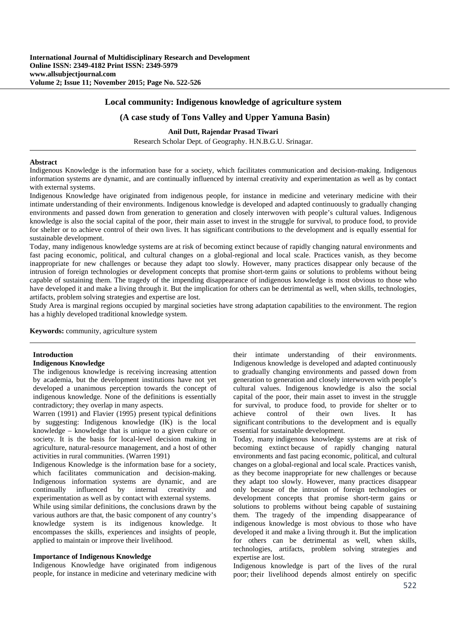## **Local community: Indigenous knowledge of agriculture system**

## **(A case study of Tons Valley and Upper Yamuna Basin)**

**Anil Dutt, Rajendar Prasad Tiwari** Research Scholar Dept. of Geography. H.N.B.G.U. Srinagar.

# **Abstract**

Indigenous Knowledge is the information base for a society, which facilitates communication and decision-making. Indigenous information systems are dynamic, and are continually influenced by internal creativity and experimentation as well as by contact with external systems.

Indigenous Knowledge have originated from indigenous people, for instance in medicine and veterinary medicine with their intimate understanding of their environments. Indigenous knowledge is developed and adapted continuously to gradually changing environments and passed down from generation to generation and closely interwoven with people's cultural values. Indigenous knowledge is also the social capital of the poor, their main asset to invest in the struggle for survival, to produce food, to provide for shelter or to achieve control of their own lives. It has significant contributions to the development and is equally essential for sustainable development.

Today, many indigenous knowledge systems are at risk of becoming extinct because of rapidly changing natural environments and fast pacing economic, political, and cultural changes on a global-regional and local scale. Practices vanish, as they become inappropriate for new challenges or because they adapt too slowly. However, many practices disappear only because of the intrusion of foreign technologies or development concepts that promise short-term gains or solutions to problems without being capable of sustaining them. The tragedy of the impending disappearance of indigenous knowledge is most obvious to those who have developed it and make a living through it. But the implication for others can be detrimental as well, when skills, technologies, artifacts, problem solving strategies and expertise are lost.

Study Area is marginal regions occupied by marginal societies have strong adaptation capabilities to the environment. The region has a highly developed traditional knowledge system.

**Keywords:** community, agriculture system

### **Introduction**

### **Indigenous Knowledge**

The indigenous knowledge is receiving increasing attention by academia, but the development institutions have not yet developed a unanimous perception towards the concept of indigenous knowledge. None of the definitions is essentially contradictory; they overlap in many aspects.

Warren (1991) and Flavier (1995) present typical definitions by suggesting: Indigenous knowledge (IK) is the local knowledge – knowledge that is unique to a given culture or society. It is the basis for local-level decision making in agriculture, natural-resource management, and a host of other activities in rural communities. (Warren 1991)

Indigenous Knowledge is the information base for a society, which facilitates communication and decision-making. Indigenous information systems are dynamic, and are continually influenced by internal creativity and experimentation as well as by contact with external systems.

While using similar definitions, the conclusions drawn by the various authors are that, the basic component of any country's knowledge system is its indigenous knowledge. It encompasses the skills, experiences and insights of people, applied to maintain or improve their livelihood.

### **Importance of Indigenous Knowledge**

Indigenous Knowledge have originated from indigenous people, for instance in medicine and veterinary medicine with their intimate understanding of their environments. Indigenous knowledge is developed and adapted continuously to gradually changing environments and passed down from generation to generation and closely interwoven with people's cultural values. Indigenous knowledge is also the social capital of the poor, their main asset to invest in the struggle for survival, to produce food, to provide for shelter or to achieve control of their own lives. It has significant contributions to the development and is equally essential for sustainable development.

Today, many indigenous knowledge systems are at risk of becoming extinct because of rapidly changing natural environments and fast pacing economic, political, and cultural changes on a global-regional and local scale. Practices vanish, as they become inappropriate for new challenges or because they adapt too slowly. However, many practices disappear only because of the intrusion of foreign technologies or development concepts that promise short-term gains or solutions to problems without being capable of sustaining them. The tragedy of the impending disappearance of indigenous knowledge is most obvious to those who have developed it and make a living through it. But the implication for others can be detrimental as well, when skills, technologies, artifacts, problem solving strategies and expertise are lost.

Indigenous knowledge is part of the lives of the rural poor; their livelihood depends almost entirely on specific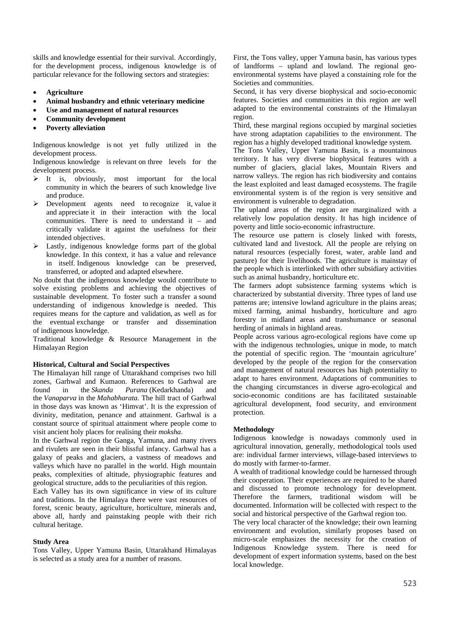skills and knowledge essential for their survival. Accordingly, for the development process, indigenous knowledge is of particular relevance for the following sectors and strategies:

- **Agriculture**
- **Animal husbandry and ethnic veterinary medicine**
- **Use and management of natural resources**
- **Community development**
- **Poverty alleviation**

Indigenous knowledge is not yet fully utilized in the development process.

Indigenous knowledge is relevant on three levels for the development process.

- $\triangleright$  It is, obviously, most important for the local community in which the bearers of such knowledge live and produce.
- Development agents need to recognize it, value it and appreciate it in their interaction with the local communities. There is need to understand it  $-$  and critically validate it against the usefulness for their intended objectives.
- $\triangleright$  Lastly, indigenous knowledge forms part of the global knowledge. In this context, it has a value and relevance in itself. Indigenous knowledge can be preserved, transferred, or adopted and adapted elsewhere.

No doubt that the indigenous knowledge would contribute to solve existing problems and achieving the objectives of sustainable development. To foster such a transfer a sound understanding of indigenous knowledge is needed. This requires means for the capture and validation, as well as for the eventual exchange or transfer and dissemination of indigenous knowledge.

Traditional knowledge & Resource Management in the Himalayan Region

#### **Historical, Cultural and Social Perspectives**

The Himalayan hill range of Uttarakhand comprises two hill zones, Garhwal and Kumaon. References to Garhwal are found in the *Skanda Purana* (Kedarkhanda) and the *Vanaparva* in the *Mahabharata*. The hill tract of Garhwal in those days was known as 'Himvat'. It is the expression of divinity, meditation, penance and attainment. Garhwal is a constant source of spiritual attainment where people come to visit ancient holy places for realising their *moksha*.

In the Garhwal region the Ganga, Yamuna, and many rivers and rivulets are seen in their blissful infancy. Garhwal has a galaxy of peaks and glaciers, a vastness of meadows and valleys which have no parallel in the world. High mountain peaks, complexities of altitude, physiographic features and geological structure, adds to the peculiarities of this region.

Each Valley has its own significance in view of its culture and traditions. In the Himalaya there were vast resources of forest, scenic beauty, agriculture, horticulture, minerals and, above all, hardy and painstaking people with their rich cultural heritage.

#### **Study Area**

Tons Valley, Upper Yamuna Basin, Uttarakhand Himalayas is selected as a study area for a number of reasons.

First, the Tons valley, upper Yamuna basin, has various types of landforms – upland and lowland. The regional geoenvironmental systems have played a constaining role for the Societies and communities.

Second, it has very diverse biophysical and socio-economic features. Societies and communities in this region are well adapted to the environmental constraints of the Himalayan region.

Third, these marginal regions occupied by marginal societies have strong adaptation capabilities to the environment. The region has a highly developed traditional knowledge system.

The Tons Valley, Upper Yamuna Basin, is a mountainous territory. It has very diverse biophysical features with a number of glaciers, glacial lakes, Mountain Rivers and narrow valleys. The region has rich biodiversity and contains the least exploited and least damaged ecosystems. The fragile environmental system is of the region is very sensitive and environment is vulnerable to degradation.

The upland areas of the region are marginalized with a relatively low population density. It has high incidence of poverty and little socio-economic infrastructure.

The resource use pattern is closely linked with forests, cultivated land and livestock. All the people are relying on natural resources (especially forest, water, arable land and pasture) for their livelihoods. The agriculture is mainstay of the people which is interlinked with other subsidiary activities such as animal husbandry, horticulture etc.

The farmers adopt subsistence farming systems which is characterized by substantial diversity. Three types of land use patterns are; intensive lowland agriculture in the plains areas; mixed farming, animal husbandry, horticulture and agro forestry in midland areas and transhumance or seasonal herding of animals in highland areas.

People across various agro-ecological regions have come up with the indigenous technologies, unique in mode, to match the potential of specific region. The 'mountain agriculture' developed by the people of the region for the conservation and management of natural resources has high potentiality to adapt to hares environment. Adaptations of communities to the changing circumstances in diverse agro-ecological and socio-economic conditions are has facilitated sustainable agricultural development, food security, and environment protection.

## **Methodology**

Indigenous knowledge is nowadays commonly used in agricultural innovation, generally, methodological tools used are: individual farmer interviews, village-based interviews to do mostly with farmer-to-farmer.

A wealth of traditional knowledge could be harnessed through their cooperation. Their experiences are required to be shared and discussed to promote technology for development. Therefore the farmers, traditional wisdom will be documented. Information will be collected with respect to the social and historical perspective of the Garhwal region too.

The very local character of the knowledge; their own learning environment and evolution, similarly proposes based on micro-scale emphasizes the necessity for the creation of Indigenous Knowledge system. There is need for development of expert information systems, based on the best local knowledge.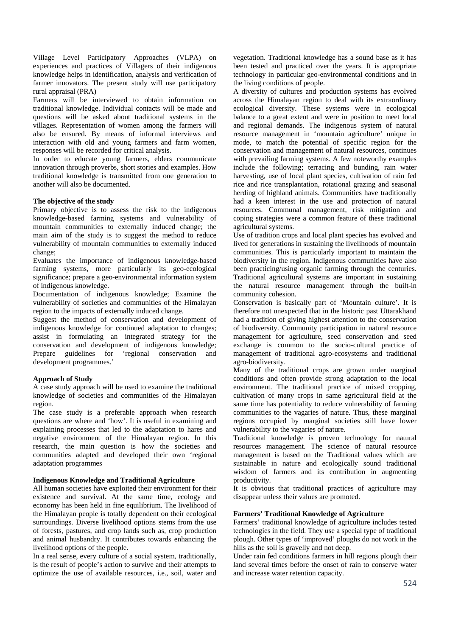Village Level Participatory Approaches (VLPA) on experiences and practices of Villagers of their indigenous knowledge helps in identification, analysis and verification of farmer innovators. The present study will use participatory rural appraisal (PRA)

Farmers will be interviewed to obtain information on traditional knowledge. Individual contacts will be made and questions will be asked about traditional systems in the villages. Representation of women among the farmers will also be ensured. By means of informal interviews and interaction with old and young farmers and farm women, responses will be recorded for critical analysis.

In order to educate young farmers, elders communicate innovation through proverbs, short stories and examples. How traditional knowledge is transmitted from one generation to another will also be documented.

### **The objective of the study**

Primary objective is to assess the risk to the indigenous knowledge-based farming systems and vulnerability of mountain communities to externally induced change; the main aim of the study is to suggest the method to reduce vulnerability of mountain communities to externally induced change;

Evaluates the importance of indigenous knowledge-based farming systems, more particularly its geo-ecological significance; prepare a geo-environmental information system of indigenous knowledge.

Documentation of indigenous knowledge; Examine the vulnerability of societies and communities of the Himalayan region to the impacts of externally induced change.

Suggest the method of conservation and development of indigenous knowledge for continued adaptation to changes; assist in formulating an integrated strategy for the conservation and development of indigenous knowledge; Prepare guidelines for 'regional conservation and development programmes.'

# **Approach of Study**

A case study approach will be used to examine the traditional knowledge of societies and communities of the Himalayan region.

The case study is a preferable approach when research questions are where and 'how'. It is useful in examining and explaining processes that led to the adaptation to hares and negative environment of the Himalayan region. In this research, the main question is how the societies and communities adapted and developed their own 'regional adaptation programmes

## **Indigenous Knowledge and Traditional Agriculture**

All human societies have exploited their environment for their existence and survival. At the same time, ecology and economy has been held in fine equilibrium. The livelihood of the Himalayan people is totally dependent on their ecological surroundings. Diverse livelihood options stems from the use of forests, pastures, and crop lands such as, crop production and animal husbandry. It contributes towards enhancing the livelihood options of the people.

In a real sense, every culture of a social system, traditionally, is the result of people's action to survive and their attempts to optimize the use of available resources, i.e., soil, water and vegetation. Traditional knowledge has a sound base as it has been tested and practiced over the years. It is appropriate technology in particular geo-environmental conditions and in the living conditions of people.

A diversity of cultures and production systems has evolved across the Himalayan region to deal with its extraordinary ecological diversity. These systems were in ecological balance to a great extent and were in position to meet local and regional demands. The indigenous system of natural resource management in 'mountain agriculture' unique in mode, to match the potential of specific region for the conservation and management of natural resources, continues with prevailing farming systems. A few noteworthy examples include the following; terracing and bunding, rain water harvesting, use of local plant species, cultivation of rain fed rice and rice transplantation, rotational grazing and seasonal herding of highland animals. Communities have traditionally had a keen interest in the use and protection of natural resources. Communal management, risk mitigation and coping strategies were a common feature of these traditional agricultural systems.

Use of tradition crops and local plant species has evolved and lived for generations in sustaining the livelihoods of mountain communities. This is particularly important to maintain the biodiversity in the region. Indigenous communities have also been practicing/using organic farming through the centuries. Traditional agricultural systems are important in sustaining the natural resource management through the built-in community cohesion.

Conservation is basically part of 'Mountain culture'. It is therefore not unexpected that in the historic past Uttarakhand had a tradition of giving highest attention to the conservation of biodiversity. Community participation in natural resource management for agriculture, seed conservation and seed exchange is common to the socio-cultural practice of management of traditional agro-ecosystems and traditional agro-biodiversity.

Many of the traditional crops are grown under marginal conditions and often provide strong adaptation to the local environment. The traditional practice of mixed cropping, cultivation of many crops in same agricultural field at the same time has potentiality to reduce vulnerability of farming communities to the vagaries of nature. Thus, these marginal regions occupied by marginal societies still have lower vulnerability to the vagaries of nature.

Traditional knowledge is proven technology for natural resources management. The science of natural resource management is based on the Traditional values which are sustainable in nature and ecologically sound traditional wisdom of farmers and its contribution in augmenting productivity.

It is obvious that traditional practices of agriculture may disappear unless their values are promoted.

## **Farmers' Traditional Knowledge of Agriculture**

Farmers' traditional knowledge of agriculture includes tested technologies in the field. They use a special type of traditional plough. Other types of 'improved' ploughs do not work in the hills as the soil is gravelly and not deep.

Under rain fed conditions farmers in hill regions plough their land several times before the onset of rain to conserve water and increase water retention capacity.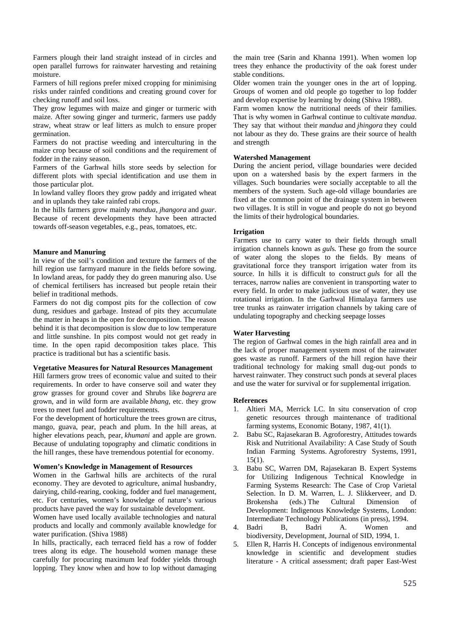Farmers plough their land straight instead of in circles and open parallel furrows for rainwater harvesting and retaining moisture.

Farmers of hill regions prefer mixed cropping for minimising risks under rainfed conditions and creating ground cover for checking runoff and soil loss.

They grow legumes with maize and ginger or turmeric with maize. After sowing ginger and turmeric, farmers use paddy straw, wheat straw or leaf litters as mulch to ensure proper germination.

Farmers do not practise weeding and interculturing in the maize crop because of soil conditions and the requirement of fodder in the rainy season.

Farmers of the Garhwal hills store seeds by selection for different plots with special identification and use them in those particular plot.

In lowland valley floors they grow paddy and irrigated wheat and in uplands they take rainfed rabi crops.

In the hills farmers grow mainly *mandua*, *jhangora* and *guar*. Because of recent developments they have been attracted towards off-season vegetables, e.g., peas, tomatoes, etc.

### **Manure and Manuring**

In view of the soil's condition and texture the farmers of the hill region use farmyard manure in the fields before sowing. In lowland areas, for paddy they do green manuring also. Use of chemical fertilisers has increased but people retain their belief in traditional methods.

Farmers do not dig compost pits for the collection of cow dung, residues and garbage. Instead of pits they accumulate the matter in heaps in the open for decomposition. The reason behind it is that decomposition is slow due to low temperature and little sunshine. In pits compost would not get ready in time. In the open rapid decomposition takes place. This practice is traditional but has a scientific basis.

### **Vegetative Measures for Natural Resources Management**

Hill farmers grow trees of economic value and suited to their requirements. In order to have conserve soil and water they grow grasses for ground cover and Shrubs like *bagrera* are grown, and in wild form are available *bhang*, etc. they grow trees to meet fuel and fodder requirements.

For the development of horticulture the trees grown are citrus, mango, guava, pear, peach and plum. In the hill areas, at higher elevations peach, pear, *khumani* and apple are grown. Because of undulating topography and climatic conditions in the hill ranges, these have tremendous potential for economy.

## **Women's Knowledge in Management of Resources**

Women in the Garhwal hills are architects of the rural economy. They are devoted to agriculture, animal husbandry, dairying, child-rearing, cooking, fodder and fuel management, etc. For centuries, women's knowledge of nature's various products have paved the way for sustainable development.

Women have used locally available technologies and natural products and locally and commonly available knowledge for water purification. (Shiva 1988)

In hills, practically, each terraced field has a row of fodder trees along its edge. The household women manage these carefully for procuring maximum leaf fodder yields through lopping. They know when and how to lop without damaging

the main tree (Sarin and Khanna 1991). When women lop trees they enhance the productivity of the oak forest under stable conditions.

Older women train the younger ones in the art of lopping. Groups of women and old people go together to lop fodder and develop expertise by learning by doing (Shiva 1988).

Farm women know the nutritional needs of their families. That is why women in Garhwal continue to cultivate *mandua*. They say that without their *mandua* and *jhingora* they could not labour as they do. These grains are their source of health and strength

## **Watershed Management**

During the ancient period, village boundaries were decided upon on a watershed basis by the expert farmers in the villages. Such boundaries were socially acceptable to all the members of the system. Such age-old village boundaries are fixed at the common point of the drainage system in between two villages. It is still in vogue and people do not go beyond the limits of their hydrological boundaries.

## **Irrigation**

Farmers use to carry water to their fields through small irrigation channels known as *gul*s*.* These go from the source of water along the slopes to the fields. By means of gravitational force they transport irrigation water from its source. In hills it is difficult to construct *gul*s for all the terraces, narrow nalies are convenient in transporting water to every field. In order to make judicious use of water, they use rotational irrigation. In the Garhwal Himalaya farmers use tree trunks as rainwater irrigation channels by taking care of undulating topography and checking seepage losses

## **Water Harvesting**

The region of Garhwal comes in the high rainfall area and in the lack of proper management system most of the rainwater goes waste as runoff. Farmers of the hill region have their traditional technology for making small dug-out ponds to harvest rainwater. They construct such ponds at several places and use the water for survival or for supplemental irrigation.

### **References**

- 1. Altieri MA, Merrick LC. In situ conservation of crop genetic resources through maintenance of traditional farming systems, Economic Botany, 1987, 41(1).
- 2. Babu SC, Rajasekaran B. Agroforestry, Attitudes towards Risk and Nutritional Availability: A Case Study of South Indian Farming Systems. Agroforestry Systems, 1991, 15(1).
- 3. Babu SC, Warren DM, Rajasekaran B. Expert Systems for Utilizing Indigenous Technical Knowledge in Farming Systems Research: The Case of Crop Varietal Selection. In D. M. Warren, L. J. Slikkerveer, and D. Brokensha (eds.) The Cultural Dimension of Development: Indigenous Knowledge Systems, London: Intermediate Technology Publications (in press), 1994.
- 4. Badri B, Badri A. Women and biodiversity, Development, Journal of SID, 1994, 1.
- 5. Ellen R, Harris H. Concepts of indigenous environmental knowledge in scientific and development studies literature - A critical assessment; draft paper East-West